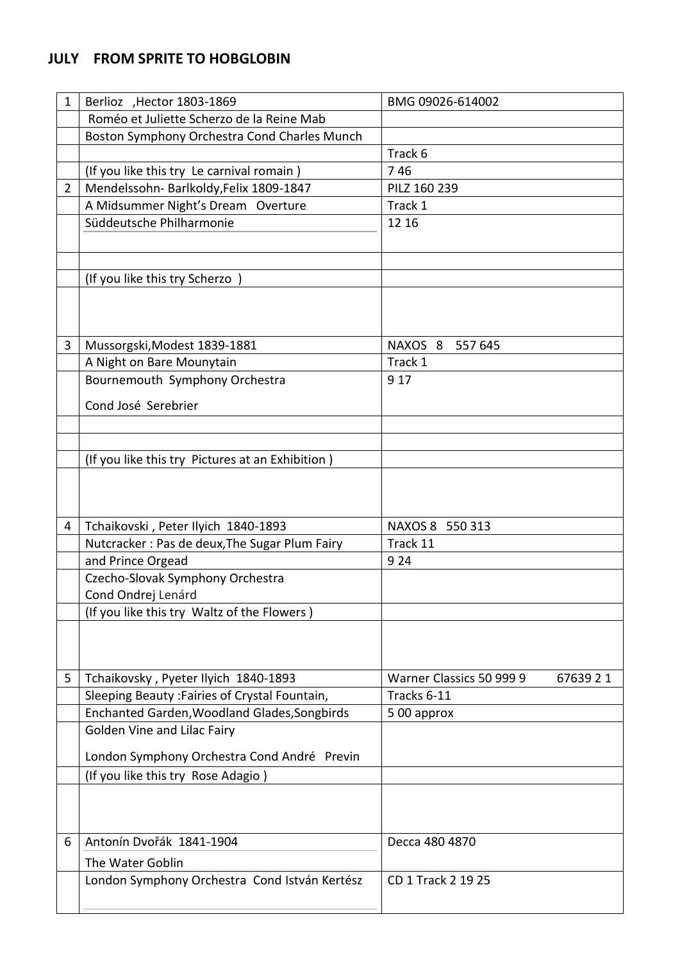## **JULY FROM SPRITE TO HOBGLOBIN**

| 1              | Berlioz , Hector 1803-1869                       | BMG 09026-614002                     |
|----------------|--------------------------------------------------|--------------------------------------|
|                | Roméo et Juliette Scherzo de la Reine Mab        |                                      |
|                | Boston Symphony Orchestra Cond Charles Munch     |                                      |
|                |                                                  | Track 6                              |
|                | (If you like this try Le carnival romain)        | 746                                  |
| $\overline{2}$ | Mendelssohn- Barlkoldy, Felix 1809-1847          | PILZ 160 239                         |
|                | A Midsummer Night's Dream Overture               | Track 1                              |
|                | Süddeutsche Philharmonie                         | 12 16                                |
|                |                                                  |                                      |
|                |                                                  |                                      |
|                | (If you like this try Scherzo)                   |                                      |
|                |                                                  |                                      |
|                |                                                  |                                      |
|                |                                                  |                                      |
| 3              | Mussorgski, Modest 1839-1881                     | NAXOS 8 557 645                      |
|                | A Night on Bare Mounytain                        | Track 1                              |
|                | Bournemouth Symphony Orchestra                   | 9 1 7                                |
|                |                                                  |                                      |
|                | Cond José Serebrier                              |                                      |
|                |                                                  |                                      |
|                |                                                  |                                      |
|                | (If you like this try Pictures at an Exhibition) |                                      |
|                |                                                  |                                      |
|                |                                                  |                                      |
| 4              | Tchaikovski, Peter Ilyich 1840-1893              | NAXOS 8 550 313                      |
|                | Nutcracker: Pas de deux, The Sugar Plum Fairy    | Track 11                             |
|                | and Prince Orgead                                | 9 2 4                                |
|                | Czecho-Slovak Symphony Orchestra                 |                                      |
|                | Cond Ondrej Lenárd                               |                                      |
|                | (If you like this try Waltz of the Flowers)      |                                      |
|                |                                                  |                                      |
|                |                                                  |                                      |
|                |                                                  |                                      |
| 5              | Tchaikovsky, Pyeter Ilyich 1840-1893             | Warner Classics 50 999 9<br>67639 21 |
|                | Sleeping Beauty: Fairies of Crystal Fountain,    | Tracks 6-11                          |
|                | Enchanted Garden, Woodland Glades, Songbirds     | 500 approx                           |
|                | Golden Vine and Lilac Fairy                      |                                      |
|                | London Symphony Orchestra Cond André Previn      |                                      |
|                | (If you like this try Rose Adagio)               |                                      |
|                |                                                  |                                      |
|                |                                                  |                                      |
|                |                                                  |                                      |
| 6              | Antonín Dvořák 1841-1904                         | Decca 480 4870                       |
|                | The Water Goblin                                 |                                      |
|                | London Symphony Orchestra Cond István Kertész    | CD 1 Track 2 19 25                   |
|                |                                                  |                                      |
|                |                                                  |                                      |